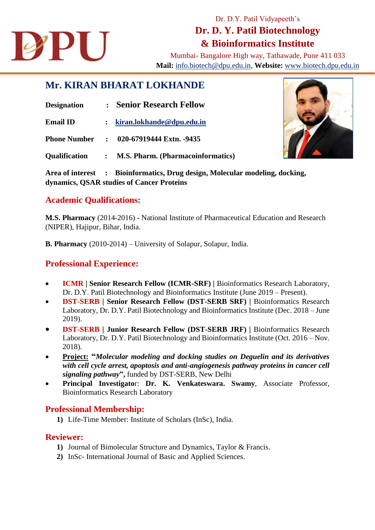

# Dr. D.Y. Patil Vidyapeeth's **Dr. D. Y. Patil Biotechnology & Bioinformatics Institute**

Mumbai- Bangalore High way, Tathawade, Pune 411 033 **Mail:** [info.biotech@dpu.edu.in,](mailto:info.biotech@dpu.edu.in) **Website:** [www.biotech.dpu.edu.in](http://www.biotech.dpu.edu.in/)

## **Mr. KIRAN BHARAT LOKHANDE**

| <b>Designation</b>                                                                                                        | <b>Senior Research Fellow</b><br>$\ddot{\cdot}$ |                                          |  |
|---------------------------------------------------------------------------------------------------------------------------|-------------------------------------------------|------------------------------------------|--|
| <b>Email ID</b>                                                                                                           | $\ddot{\cdot}$                                  | kiran.lokhande@dpu.edu.in                |  |
| <b>Phone Number</b>                                                                                                       | $\ddot{\cdot}$                                  | 020-67919444 Extn. -9435                 |  |
| <b>Qualification</b>                                                                                                      | $\ddot{\cdot}$                                  | <b>M.S. Pharm. (Pharmacoinformatics)</b> |  |
| Area of interest : Bioinformatics, Drug design, Molecular modeling, docking,<br>dynamics, QSAR studies of Cancer Proteins |                                                 |                                          |  |

#### **Academic Qualifications:**

**M.S. Pharmacy** (2014-2016) - National Institute of Pharmaceutical Education and Research (NIPER), Hajipur, Bihar, India.

**B. Pharmacy** (2010-2014) – University of Solapur, Solapur, India.

### **Professional Experience:**

- **ICMR | Senior Research Fellow (ICMR-SRF) |** Bioinformatics Research Laboratory, Dr. D.Y. Patil Biotechnology and Bioinformatics Institute (June 2019 – Present).
- **DST-SERB | Senior Research Fellow (DST-SERB SRF) |** Bioinformatics Research Laboratory, Dr. D.Y. Patil Biotechnology and Bioinformatics Institute (Dec. 2018 – June 2019).
- **DST-SERB | Junior Research Fellow (DST-SERB JRF) |** Bioinformatics Research Laboratory, Dr. D.Y. Patil Biotechnology and Bioinformatics Institute (Oct. 2016 – Nov. 2018).
- **Project: "***Molecular modeling and docking studies on Deguelin and its derivatives with cell cycle arrest, apoptosis and anti-angiogenesis pathway proteins in cancer cell signaling pathway***",** funded by DST-SERB, New Delhi
- **Principal Investigato**r: **Dr. K. Venkateswara. Swamy**, Associate Professor, Bioinformatics Research Laboratory

#### **Professional Membership:**

**1)** Life-Time Member: Institute of Scholars (InSc), India.

#### **Reviewer:**

- **1)** Journal of Bimolecular Structure and Dynamics, Taylor & Francis.
- **2)** InSc- International Journal of Basic and Applied Sciences.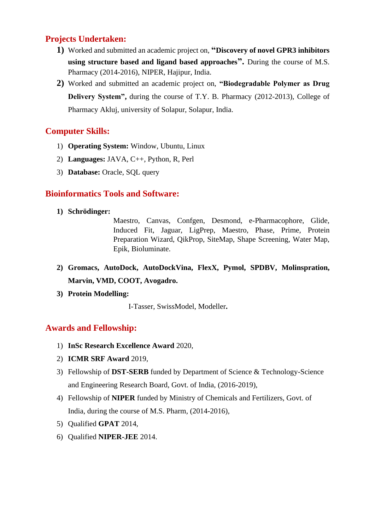### **Projects Undertaken:**

- **1)** Worked and submitted an academic project on, **"Discovery of novel GPR3 inhibitors using structure based and ligand based approaches".** During the course of M.S. Pharmacy (2014-2016), NIPER, Hajipur, India.
- **2)** Worked and submitted an academic project on, **"Biodegradable Polymer as Drug Delivery System",** during the course of T.Y. B. Pharmacy (2012-2013), College of Pharmacy Akluj, university of Solapur, Solapur, India.

#### **Computer Skills:**

- 1) **Operating System:** Window, Ubuntu, Linux
- 2) **Languages:** JAVA, C++, Python, R, Perl
- 3) **Database:** Oracle, SQL query

#### **Bioinformatics Tools and Software:**

**1) Schrödinger:** 

Maestro, Canvas, Confgen, Desmond, e-Pharmacophore, Glide, Induced Fit, Jaguar, LigPrep, Maestro, Phase, Prime, Protein Preparation Wizard, QikProp, SiteMap, Shape Screening, Water Map, Epik, Bioluminate.

- **2) Gromacs, AutoDock, AutoDockVina, FlexX, Pymol, SPDBV, Molinspration, Marvin, VMD, COOT, Avogadro.**
- **3) Protein Modelling:**

I-Tasser, SwissModel, Modeller**.** 

#### **Awards and Fellowship:**

- 1) **InSc Research Excellence Award** 2020,
- 2) **ICMR SRF Award** 2019,
- 3) Fellowship of **DST-SERB** funded by Department of Science & Technology-Science and Engineering Research Board, Govt. of India, (2016-2019),
- 4) Fellowship of **NIPER** funded by Ministry of Chemicals and Fertilizers, Govt. of India, during the course of M.S. Pharm, (2014-2016),
- 5) Qualified **GPAT** 2014,
- 6) Qualified **NIPER-JEE** 2014.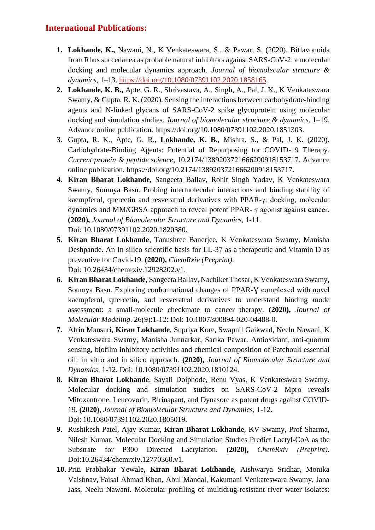### **International Publications:**

- **1. Lokhande, K.,** Nawani, N., K Venkateswara, S., & Pawar, S. (2020). Biflavonoids from Rhus succedanea as probable natural inhibitors against SARS-CoV-2: a molecular docking and molecular dynamics approach. *Journal of biomolecular structure & dynamics*, 1–13. [https://doi.org/10.1080/07391102.2020.1858165.](https://doi.org/10.1080/07391102.2020.1858165)
- **2. Lokhande, K. B.,** Apte, G. R., Shrivastava, A., Singh, A., Pal, J. K., K Venkateswara Swamy, & Gupta, R. K. (2020). Sensing the interactions between carbohydrate-binding agents and N-linked glycans of SARS-CoV-2 spike glycoprotein using molecular docking and simulation studies. *Journal of biomolecular structure & dynamics*, 1–19. Advance online publication. https://doi.org/10.1080/07391102.2020.1851303.
- **3.** Gupta, R. K., Apte, G. R., **Lokhande, K. B**., Mishra, S., & Pal, J. K. (2020). Carbohydrate-Binding Agents: Potential of Repurposing for COVID-19 Therapy. *Current protein & peptide science*, 10.2174/1389203721666200918153717. Advance online publication. https://doi.org/10.2174/1389203721666200918153717.
- **4. Kiran Bharat Lokhande,** Sangeeta Ballav, Rohit Singh Yadav, K Venkateswara Swamy, Soumya Basu. Probing intermolecular interactions and binding stability of kaempferol, quercetin and resveratrol derivatives with PPAR-γ: docking, molecular dynamics and MM/GBSA approach to reveal potent PPAR- γ agonist against cancer**. (2020),** *Journal of Biomolecular Structure and Dynamics*, 1-11. Doi: 10.1080/07391102.2020.1820380.
- **5. Kiran Bharat Lokhande**, Tanushree Banerjee, K Venkateswara Swamy, Manisha Deshpande. An In silico scientific basis for LL-37 as a therapeutic and Vitamin D as preventive for Covid-19. **(2020),** *ChemRxiv (Preprint).* Doi: 10.26434/chemrxiv.12928202.v1.
- **6. Kiran Bharat Lokhande**, Sangeeta Ballav, Nachiket Thosar, K Venkateswara Swamy, Soumya Basu. Exploring conformational changes of PPAR-V complexed with novel kaempferol, quercetin, and resveratrol derivatives to understand binding mode assessment: a small-molecule checkmate to cancer therapy. **(2020),** *Journal of Molecular Modeling*. 26(9):1-12: Doi: 10.1007/s00894-020-04488-0.
- **7.** Afrin Mansuri, **Kiran Lokhande**, Supriya Kore, Swapnil Gaikwad, Neelu Nawani, K Venkateswara Swamy, Manisha Junnarkar, Sarika Pawar. Antioxidant, anti-quorum sensing, biofilm inhibitory activities and chemical composition of Patchouli essential oil: in vitro and in silico approach. **(2020),** *Journal of Biomolecular Structure and Dynamics*, 1-12. Doi: 10.1080/07391102.2020.1810124.
- **8. Kiran Bharat Lokhande**, Sayali Doiphode, Renu Vyas, K Venkateswara Swamy. Molecular docking and simulation studies on SARS-CoV-2 Mpro reveals Mitoxantrone, Leucovorin, Birinapant, and Dynasore as potent drugs against COVID-19. **(2020),** *Journal of Biomolecular Structure and Dynamics*, 1-12. Doi: 10.1080/07391102.2020.1805019.
- **9.** Rushikesh Patel, Ajay Kumar, **Kiran Bharat Lokhande**, KV Swamy, Prof Sharma, Nilesh Kumar. Molecular Docking and Simulation Studies Predict Lactyl-CoA as the Substrate for P300 Directed Lactylation. **(2020),** *ChemRxiv (Preprint).* Doi:10.26434/chemrxiv.12770360.v1.
- **10.** Priti Prabhakar Yewale, **Kiran Bharat Lokhande**, Aishwarya Sridhar, Monika Vaishnav, Faisal Ahmad Khan, Abul Mandal, Kakumani Venkateswara Swamy, Jana Jass, Neelu Nawani. Molecular profiling of multidrug-resistant river water isolates: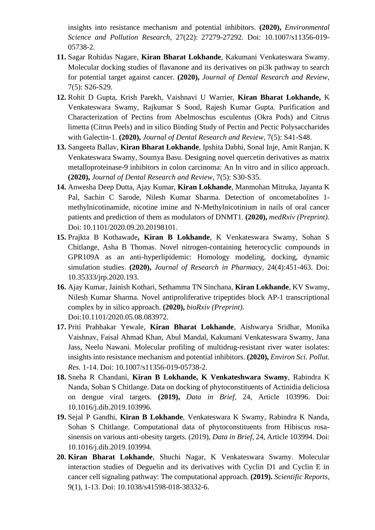insights into resistance mechanism and potential inhibitors. **(2020),** *Environmental Science and Pollution Research*, 27(22): 27279-27292. Doi: 10.1007/s11356-019- 05738-2.

- **11.** Sagar Rohidas Nagare, **Kiran Bharat Lokhande**, Kakumani Venkateswara Swamy. Molecular docking studies of flavanone and its derivatives on pi3k pathway to search for potential target against cancer. **(2020),** *Journal of Dental Research and Review*, 7(5): S26-S29.
- **12.** Rohit D Gupta, Krish Parekh, Vaishnavi U Warrier, **Kiran Bharat Lokhande,** K Venkateswara Swamy, Rajkumar S Sood, Rajesh Kumar Gupta*.* Purification and Characterization of Pectins from Abelmoschus esculentus (Okra Pods) and Citrus limetta (Citrus Peels) and in silico Binding Study of Pectin and Pectic Polysaccharides with Galectin‑1. **(2020),** *Journal of Dental Research and Review,* 7(5): S41-S48.
- **13.** Sangeeta Ballav, **Kiran Bharat Lokhande**, Ipshita Dabhi, Sonal Inje, Amit Ranjan, K Venkateswara Swamy, Soumya Basu. Designing novel quercetin derivatives as matrix metalloproteinase-9 inhibitors in colon carcinoma: An In vitro and in silico approach. **(2020),** *Journal of Dental Research and Review*, 7(5): S30-S35.
- **14.** Anwesha Deep Dutta, Ajay Kumar, **Kiran Lokhande**, Manmohan Mitruka, Jayanta K Pal, Sachin C Sarode, Nilesh Kumar Sharma. Detection of oncometabolites 1 methylnicotinamide, nicotine imine and N-Methylnicotinium in nails of oral cancer patients and prediction of them as modulators of DNMT1. **(2020),** *medRxiv (Preprint).* Doi: 10.1101/2020.09.20.20198101.
- **15.** Prajkta B Kothawade**, Kiran B Lokhande**, K Venkateswara Swamy, Sohan S Chitlange, Asha B Thomas. Novel nitrogen-containing heterocyclic compounds in GPR109A as an anti-hyperlipidemic: Homology modeling, docking, dynamic simulation studies. **(2020),** *Journal of Research in Pharmacy*, 24(4):451-463. Doi: 10.35333/jrp.2020.193.
- **16.** Ajay Kumar, Jainish Kothari, Sethamma TN Sinchana, **Kiran Lokhande**, KV Swamy, Nilesh Kumar Sharma. Novel antiproliferative tripeptides block AP-1 transcriptional complex by in silico approach. **(2020),** *bioRxiv (Preprint).*  Doi:10.1101/2020.05.08.083972.
- **17.** Priti Prabhakar Yewale, **Kiran Bharat Lokhande**, Aishwarya Sridhar, Monika Vaishnav, Faisal Ahmad Khan, Abul Mandal, Kakumani Venkateswara Swamy, Jana Jass, Neelu Nawani. Molecular profiling of multidrug-resistant river water isolates: insights into resistance mechanism and potential inhibitors. **(2020),** *Environ Sci. Pollut. Res.* 1-14. Doi: 10.1007/s11356-019-05738-2.
- **18.** Sneha R Chandani, **Kiran B Lokhande, K Venkateshwara Swamy**, Rabindra K Nanda, Sohan S Chitlange. Data on docking of phytoconstituents of Actinidia deliciosa on dengue viral targets. **(2019),** *Data in Brief,* 24, Article 103996. Doi: 10.1016/j.dib.2019.103996.
- **19.** Sejal P Gandhi, **Kiran B Lokhande**, Venkateswara K Swamy, Rabindra K Nanda, Sohan S Chitlange. Computational data of phytoconstituents from Hibiscus rosasinensis on various anti-obesity targets. (2019), *Data in Brief,* 24, Article 103994. Doi: 10.1016/j.dib.2019.103994.
- **20. Kiran Bharat Lokhande**, Shuchi Nagar, K Venkateswara Swamy. Molecular interaction studies of Deguelin and its derivatives with Cyclin D1 and Cyclin E in cancer cell signaling pathway: The computational approach. **(2019).** *Scientific Reports,*  9(1), 1-13. Doi: 10.1038/s41598-018-38332-6.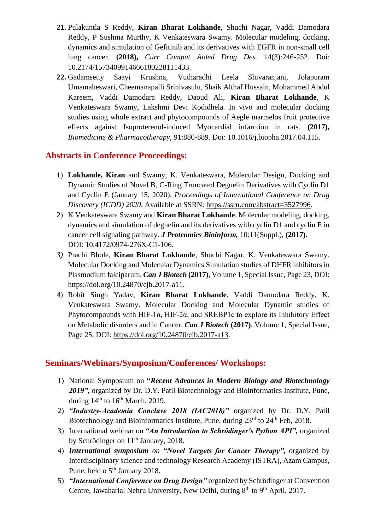- **21.** Pulakuntla S Reddy, **Kiran Bharat Lokhande**, Shuchi Nagar, Vaddi Damodara Reddy, P Sushma Murthy, K Venkateswara Swamy. Molecular modeling, docking, dynamics and simulation of Gefitinib and its derivatives with EGFR in non-small cell lung cancer. **(2018),** *Curr Comput Aided Drug Des.* 14(3):246-252. Doi: 10.2174/1573409914666180228111433.
- **22.** Gadamsetty Saayi Krushna, Vutharadhi Leela Shivaranjani, Jolapuram Umamaheswari, Cheemanapalli Srinivasulu, Shaik Althaf Hussain, Mohammed Abdul Kareem, Vaddi Damodara Reddy, Daoud Ali, **Kiran Bharat Lokhande**, K Venkateswara Swamy, Lakshmi Devi Kodidhela. In vivo and molecular docking studies using whole extract and phytocompounds of Aegle marmelos fruit protective effects against Isoproterenol-induced Myocardial infarction in rats. **(2017),** *Biomedicine & Pharmacotherapy,* 91:880-889. Doi: 10.1016/j.biopha.2017.04.115.

#### **Abstracts in Conference Proceedings:**

- 1) **Lokhande, Kiran** and Swamy, K. Venkateswara, Molecular Design, Docking and Dynamic Studies of Novel B, C-Ring Truncated Deguelin Derivatives with Cyclin D1 and Cyclin E (January 15, 2020). *Proceedings of International Conference on Drug Discovery (ICDD) 2020*, Available at SSRN: [https://ssrn.com/abstract=3527996.](https://ssrn.com/abstract=3527996)
- 2) K Venkateswara Swamy and **Kiran Bharat Lokhande**. Molecular modeling, docking, dynamics and simulation of deguelin and its derivatives with cyclin D1 and cyclin E in cancer cell signaling pathway. *J Proteomics Bioinform,* 10:11(Suppl.), **(2017).** DOI: 10.4172/0974-276X-C1-106.
- *3)* Prachi Bhole, **Kiran Bharat Lokhande**, Shuchi Nagar, K. Venkateswara Swamy*.*  Molecular Docking and Molecular Dynamics Simulation studies of DHFR inhibitors in Plasmodium falciparum. *Can J Biotech* **(2017)**, Volume 1, Special Issue, Page 23, DOI: [https://doi.org/10.24870/cjb.2017-a11.](https://doi.org/10.24870/cjb.2017-a11)
- 4) Rohit Singh Yadav, **Kiran Bharat Lokhande**, Vaddi Damodara Reddy, K. Venkateswara Swamy. Molecular Docking and Molecular Dynamic studies of Phytocompounds with HIF-1 $\alpha$ , HIF-2 $\alpha$ , and SREBP1c to explore its Inhibitory Effect on Metabolic disorders and in Cancer. *Can J Biotech* **(2017)**, Volume 1, Special Issue, Page 25, DOI: https://doi.org/10.24870/cjb.2017-a13.

#### **Seminars/Webinars/Symposium/Conferences/ Workshops:**

- 1) National Symposium on **"***Recent Advances in Modern Biology and Biotechnology*  2019", organized by Dr. D.Y. Patil Biotechnology and Bioinformatics Institute, Pune, during  $14<sup>th</sup>$  to  $16<sup>th</sup>$  March, 2019.
- 2) *"Industry-Academia Conclave 2018 (IAC2018)"* organized by Dr. D.Y. Patil Biotechnology and Bioinformatics Institute, Pune, during  $23<sup>rd</sup>$  to  $24<sup>th</sup>$  Feb, 2018.
- 3) International webinar on *"An Introduction to Schrödinger's Python API",* organized by Schrödinger on 11<sup>th</sup> January, 2018.
- 4) *International symposium on "Novel Targets for Cancer Therapy",* organized by Interdisciplinary science and technology Research Academy (ISTRA), Azam Campus, Pune, held o 5<sup>th</sup> January 2018.
- 5) *"International Conference on Drug Design"* organized by Schrödinger at Convention Centre, Jawaharlal Nehru University, New Delhi, during  $8<sup>th</sup>$  to  $9<sup>th</sup>$  April, 2017.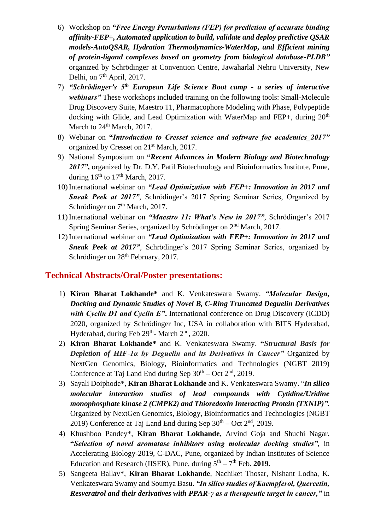- 6) Workshop on *"Free Energy Perturbations (FEP) for prediction of accurate binding affinity-FEP+, Automated application to build, validate and deploy predictive QSAR models-AutoQSAR, Hydration Thermodynamics-WaterMap, and Efficient mining of protein-ligand complexes based on geometry from biological database-PLDB"* organized by Schrödinger at Convention Centre, Jawaharlal Nehru University, New Delhi, on  $7<sup>th</sup>$  April, 2017.
- 7) *"Schrödinger's 5th European Life Science Boot camp - a series of interactive webinars"* These workshops included training on the following tools: Small-Molecule Drug Discovery Suite, Maestro 11, Pharmacophore Modeling with Phase, Polypeptide docking with Glide, and Lead Optimization with WaterMap and FEP+, during  $20<sup>th</sup>$ March to  $24<sup>th</sup>$  March, 2017.
- 8) Webinar on **"***Introduction to Cresset science and software foe academics\_2017"* organized by Cresset on 21<sup>st</sup> March, 2017.
- 9) National Symposium on **"***Recent Advances in Modern Biology and Biotechnology*  2017", organized by Dr. D.Y. Patil Biotechnology and Bioinformatics Institute, Pune, during  $16<sup>th</sup>$  to  $17<sup>th</sup>$  March, 2017.
- 10) International webinar on *"Lead Optimization with FEP+: Innovation in 2017 and Sneak Peek at 2017",* Schrödinger's 2017 Spring Seminar Series, Organized by Schrödinger on 7<sup>th</sup> March, 2017.
- 11) International webinar on *"Maestro 11: What's New in 2017",* Schrödinger's 2017 Spring Seminar Series, organized by Schrödinger on 2nd March, 2017.
- 12) International webinar on *"Lead Optimization with FEP+: Innovation in 2017 and Sneak Peek at 2017"*, Schrödinger's 2017 Spring Seminar Series, organized by Schrödinger on  $28<sup>th</sup>$  February, 2017.

#### **Technical Abstracts/Oral/Poster presentations:**

- 1) **Kiran Bharat Lokhande\*** and K. Venkateswara Swamy. *"Molecular Design, Docking and Dynamic Studies of Novel B, C-Ring Truncated Deguelin Derivatives with Cyclin D1 and Cyclin E"*. International conference on Drug Discovery (ICDD) 2020, organized by Schrödinger Inc, USA in collaboration with BITS Hyderabad, Hyderabad, during Feb 29<sup>th</sup>- March 2<sup>nd</sup>, 2020.
- 2) **Kiran Bharat Lokhande\*** and K. Venkateswara Swamy. **"***Structural Basis for Depletion of HIF-1α by Deguelin and its Derivatives in Cancer"* Organized by NextGen Genomics, Biology, Bioinformatics and Technologies (NGBT 2019) Conference at Taj Land End during Sep  $30<sup>th</sup> - Oct 2<sup>nd</sup>$ , 2019.
- 3) Sayali Doiphode\*, **Kiran Bharat Lokhande** and K. Venkateswara Swamy. "*In silico molecular interaction studies of lead compounds with Cytidine/Uridine monophosphate kinase 2 (CMPK2) and Thioredoxin Interacting Protein (TXNIP)".* Organized by NextGen Genomics, Biology, Bioinformatics and Technologies (NGBT 2019) Conference at Taj Land End during Sep  $30<sup>th</sup> - Oct 2<sup>nd</sup>$ , 2019.
- 4) Khushboo Pandey\*, **Kiran Bharat Lokhande**, Arvind Goja and Shuchi Nagar. **"***Selection of novel aromatase inhibitors using molecular docking studies",* in Accelerating Biology-2019, C-DAC, Pune, organized by Indian Institutes of Science Education and Research (IISER), Pune, during  $5<sup>th</sup> - 7<sup>th</sup>$  Feb. 2019.
- 5) Sangeeta Ballav\*, **Kiran Bharat Lokhande**, Nachiket Thosar, Nishant Lodha, K. Venkateswara Swamy and Soumya Basu. *"In silico studies of Kaempferol, Quercetin, Resveratrol and their derivatives with PPAR-γ as a therapeutic target in cancer,"* in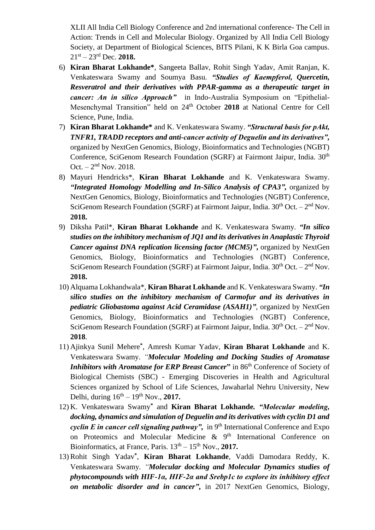XLII All India Cell Biology Conference and 2nd international conference- The Cell in Action: Trends in Cell and Molecular Biology. Organized by All India Cell Biology Society, at Department of Biological Sciences, BITS Pilani, K K Birla Goa campus. 21st – 23rd Dec. **2018.**

- 6) **Kiran Bharat Lokhande\***, Sangeeta Ballav, Rohit Singh Yadav, Amit Ranjan, K. Venkateswara Swamy and Soumya Basu. *"Studies of Kaempferol, Quercetin, Resveratrol and their derivatives with PPAR-gamma as a therapeutic target in cancer: An in silico Approach"* in Indo-Australia Symposium on "Epithelial-Mesenchymal Transition" held on 24th October **2018** at National Centre for Cell Science, Pune, India.
- 7) **Kiran Bharat Lokhande\*** and K. Venkateswara Swamy. *"Structural basis for pAkt, TNFR1, TRADD receptors and anti-cancer activity of Deguelin and its derivatives",*  organized by NextGen Genomics, Biology, Bioinformatics and Technologies (NGBT) Conference, SciGenom Research Foundation (SGRF) at Fairmont Jaipur, India. 30<sup>th</sup> Oct.  $-2^{nd}$  Nov. 2018.
- 8) Mayuri Hendricks\*, **Kiran Bharat Lokhande** and K. Venkateswara Swamy. *"Integrated Homology Modelling and In-Silico Analysis of CPA3",* organized by NextGen Genomics, Biology, Bioinformatics and Technologies (NGBT) Conference, SciGenom Research Foundation (SGRF) at Fairmont Jaipur, India.  $30<sup>th</sup> Oct. - 2<sup>nd</sup> Nov.$ **2018.**
- 9) Diksha Patil\*, **Kiran Bharat Lokhande** and K. Venkateswara Swamy*. "In silico studies on the inhibitory mechanism of JQ1 and its derivatives in Anaplastic Thyroid Cancer against DNA replication licensing factor (MCM5)"***,** organized by NextGen Genomics, Biology, Bioinformatics and Technologies (NGBT) Conference, SciGenom Research Foundation (SGRF) at Fairmont Jaipur, India.  $30<sup>th</sup> Oct. - 2<sup>nd</sup> Nov.$ **2018.**
- 10) Alquama Lokhandwala\*, **Kiran Bharat Lokhande** and K. Venkateswara Swamy. *"In silico studies on the inhibitory mechanism of Carmofur and its derivatives in pediatric Gliobastoma against Acid Ceramidase (ASAH1)",* organized by NextGen Genomics, Biology, Bioinformatics and Technologies (NGBT) Conference, SciGenom Research Foundation (SGRF) at Fairmont Jaipur, India.  $30<sup>th</sup> Oct. - 2<sup>nd</sup> Nov.$ **2018**.
- 11) Ajinkya Sunil Mehere**\*** , Amresh Kumar Yadav, **Kiran Bharat Lokhande** and K. Venkateswara Swamy*. "Molecular Modeling and Docking Studies of Aromatase Inhibitors with Aromatase for ERP Breast Cancer*<sup>"</sup> in 86<sup>th</sup> Conference of Society of Biological Chemists (SBC) - Emerging Discoveries in Health and Agricultural Sciences organized by School of Life Sciences, Jawaharlal Nehru University, New Delhi, during  $16^{th} - 19^{th}$  Nov., **2017.**
- 12) K. Venkateswara Swamy**\*** and **Kiran Bharat Lokhande***. "Molecular modeling, docking, dynamics and simulation of Deguelin and its derivatives with cyclin D1 and cyclin E in cancer cell signaling pathway*", in  $9<sup>th</sup>$  International Conference and Expo on Proteomics and Molecular Medicine  $\&$  9<sup>th</sup> International Conference on Bioinformatics, at France, Paris.  $13<sup>th</sup> - 15<sup>th</sup>$  Nov., **2017.**
- 13)Rohit Singh Yadav**\*** , **Kiran Bharat Lokhande**, Vaddi Damodara Reddy, K. Venkateswara Swamy*. "Molecular docking and Molecular Dynamics studies of phytocompounds with HIF-1α, HIF-2α and Srebp1c to explore its inhibitory effect on metabolic disorder and in cancer"***,** in 2017 NextGen Genomics, Biology,